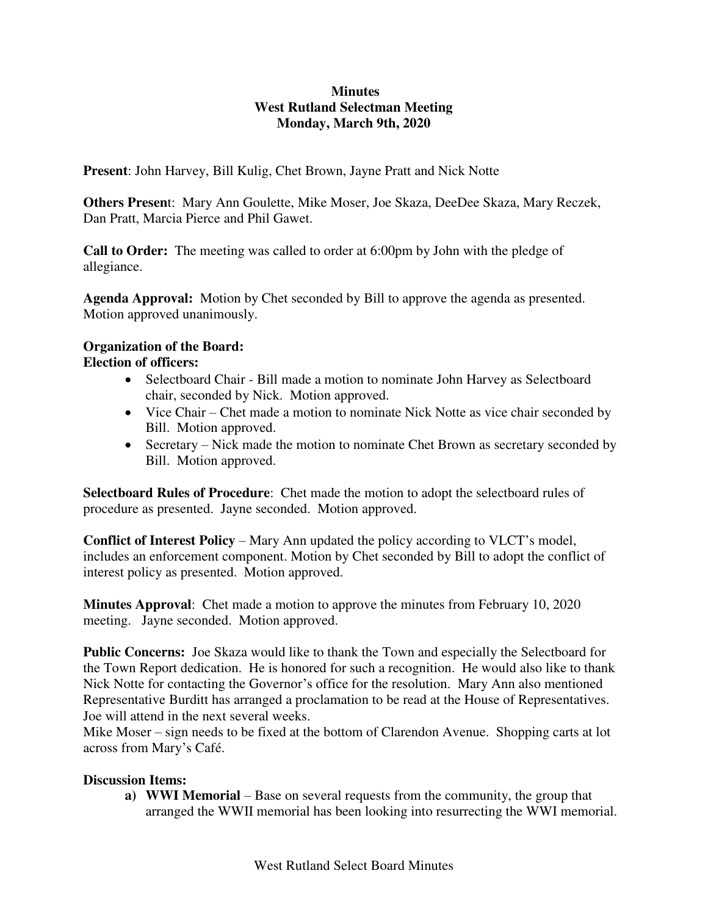## **Minutes West Rutland Selectman Meeting Monday, March 9th, 2020**

**Present**: John Harvey, Bill Kulig, Chet Brown, Jayne Pratt and Nick Notte

**Others Presen**t: Mary Ann Goulette, Mike Moser, Joe Skaza, DeeDee Skaza, Mary Reczek, Dan Pratt, Marcia Pierce and Phil Gawet.

**Call to Order:** The meeting was called to order at 6:00pm by John with the pledge of allegiance.

**Agenda Approval:** Motion by Chet seconded by Bill to approve the agenda as presented. Motion approved unanimously.

# **Organization of the Board:**

### **Election of officers:**

- Selectboard Chair Bill made a motion to nominate John Harvey as Selectboard chair, seconded by Nick. Motion approved.
- Vice Chair Chet made a motion to nominate Nick Notte as vice chair seconded by Bill. Motion approved.
- Secretary Nick made the motion to nominate Chet Brown as secretary seconded by Bill. Motion approved.

**Selectboard Rules of Procedure**: Chet made the motion to adopt the selectboard rules of procedure as presented. Jayne seconded. Motion approved.

**Conflict of Interest Policy** – Mary Ann updated the policy according to VLCT's model, includes an enforcement component. Motion by Chet seconded by Bill to adopt the conflict of interest policy as presented. Motion approved.

**Minutes Approval**: Chet made a motion to approve the minutes from February 10, 2020 meeting. Jayne seconded. Motion approved.

**Public Concerns:** Joe Skaza would like to thank the Town and especially the Selectboard for the Town Report dedication. He is honored for such a recognition. He would also like to thank Nick Notte for contacting the Governor's office for the resolution. Mary Ann also mentioned Representative Burditt has arranged a proclamation to be read at the House of Representatives. Joe will attend in the next several weeks.

Mike Moser – sign needs to be fixed at the bottom of Clarendon Avenue. Shopping carts at lot across from Mary's Café.

#### **Discussion Items:**

**a) WWI Memorial** – Base on several requests from the community, the group that arranged the WWII memorial has been looking into resurrecting the WWI memorial.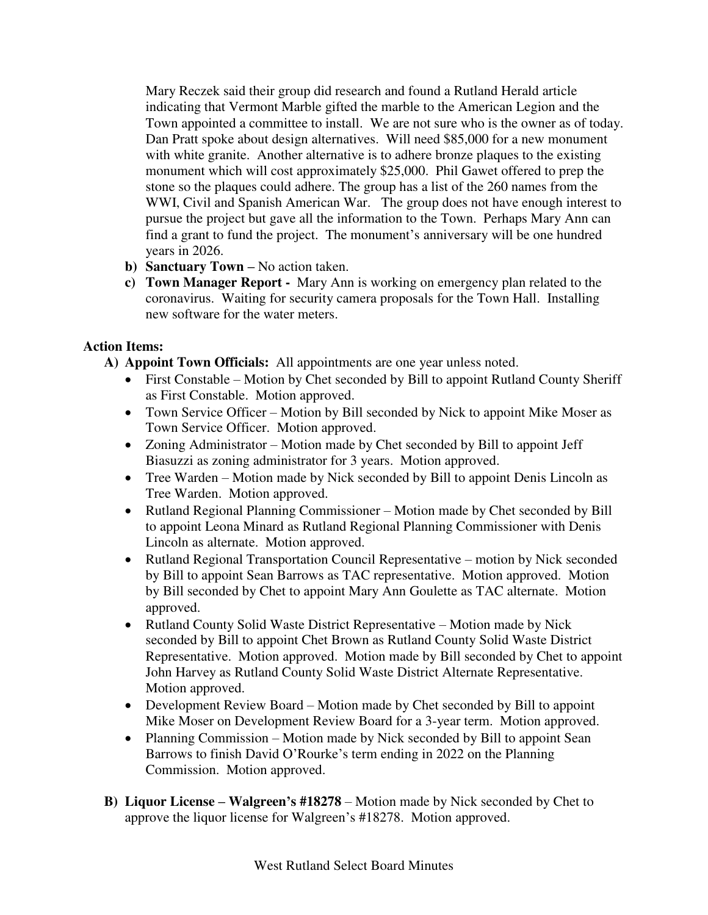Mary Reczek said their group did research and found a Rutland Herald article indicating that Vermont Marble gifted the marble to the American Legion and the Town appointed a committee to install. We are not sure who is the owner as of today. Dan Pratt spoke about design alternatives. Will need \$85,000 for a new monument with white granite. Another alternative is to adhere bronze plaques to the existing monument which will cost approximately \$25,000. Phil Gawet offered to prep the stone so the plaques could adhere. The group has a list of the 260 names from the WWI, Civil and Spanish American War. The group does not have enough interest to pursue the project but gave all the information to the Town. Perhaps Mary Ann can find a grant to fund the project. The monument's anniversary will be one hundred years in 2026.

- **b) Sanctuary Town –** No action taken.
- **c) Town Manager Report** Mary Ann is working on emergency plan related to the coronavirus. Waiting for security camera proposals for the Town Hall. Installing new software for the water meters.

# **Action Items:**

- **A) Appoint Town Officials:** All appointments are one year unless noted.
	- First Constable Motion by Chet seconded by Bill to appoint Rutland County Sheriff as First Constable. Motion approved.
	- Town Service Officer Motion by Bill seconded by Nick to appoint Mike Moser as Town Service Officer. Motion approved.
	- Zoning Administrator Motion made by Chet seconded by Bill to appoint Jeff Biasuzzi as zoning administrator for 3 years. Motion approved.
	- Tree Warden Motion made by Nick seconded by Bill to appoint Denis Lincoln as Tree Warden. Motion approved.
	- Rutland Regional Planning Commissioner Motion made by Chet seconded by Bill to appoint Leona Minard as Rutland Regional Planning Commissioner with Denis Lincoln as alternate. Motion approved.
	- Rutland Regional Transportation Council Representative motion by Nick seconded by Bill to appoint Sean Barrows as TAC representative. Motion approved. Motion by Bill seconded by Chet to appoint Mary Ann Goulette as TAC alternate. Motion approved.
	- Rutland County Solid Waste District Representative Motion made by Nick seconded by Bill to appoint Chet Brown as Rutland County Solid Waste District Representative. Motion approved. Motion made by Bill seconded by Chet to appoint John Harvey as Rutland County Solid Waste District Alternate Representative. Motion approved.
	- Development Review Board Motion made by Chet seconded by Bill to appoint Mike Moser on Development Review Board for a 3-year term. Motion approved.
	- Planning Commission Motion made by Nick seconded by Bill to appoint Sean Barrows to finish David O'Rourke's term ending in 2022 on the Planning Commission. Motion approved.
- **B) Liquor License – Walgreen's #18278**  Motion made by Nick seconded by Chet to approve the liquor license for Walgreen's #18278. Motion approved.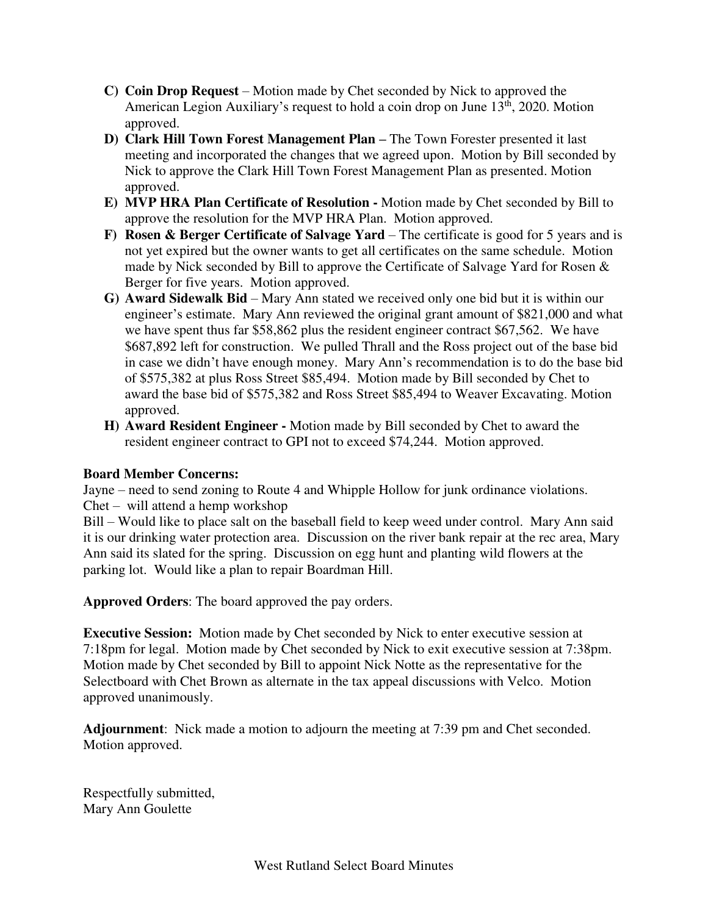- **C) Coin Drop Request**  Motion made by Chet seconded by Nick to approved the American Legion Auxiliary's request to hold a coin drop on June  $13<sup>th</sup>$ , 2020. Motion approved.
- **D) Clark Hill Town Forest Management Plan –** The Town Forester presented it last meeting and incorporated the changes that we agreed upon. Motion by Bill seconded by Nick to approve the Clark Hill Town Forest Management Plan as presented. Motion approved.
- **E) MVP HRA Plan Certificate of Resolution** Motion made by Chet seconded by Bill to approve the resolution for the MVP HRA Plan. Motion approved.
- **F)** Rosen & Berger Certificate of Salvage Yard The certificate is good for 5 years and is not yet expired but the owner wants to get all certificates on the same schedule. Motion made by Nick seconded by Bill to approve the Certificate of Salvage Yard for Rosen & Berger for five years. Motion approved.
- **G) Award Sidewalk Bid**  Mary Ann stated we received only one bid but it is within our engineer's estimate. Mary Ann reviewed the original grant amount of \$821,000 and what we have spent thus far \$58,862 plus the resident engineer contract \$67,562. We have \$687,892 left for construction. We pulled Thrall and the Ross project out of the base bid in case we didn't have enough money. Mary Ann's recommendation is to do the base bid of \$575,382 at plus Ross Street \$85,494. Motion made by Bill seconded by Chet to award the base bid of \$575,382 and Ross Street \$85,494 to Weaver Excavating. Motion approved.
- **H) Award Resident Engineer** Motion made by Bill seconded by Chet to award the resident engineer contract to GPI not to exceed \$74,244. Motion approved.

## **Board Member Concerns:**

Jayne – need to send zoning to Route 4 and Whipple Hollow for junk ordinance violations. Chet – will attend a hemp workshop

Bill – Would like to place salt on the baseball field to keep weed under control. Mary Ann said it is our drinking water protection area. Discussion on the river bank repair at the rec area, Mary Ann said its slated for the spring. Discussion on egg hunt and planting wild flowers at the parking lot. Would like a plan to repair Boardman Hill.

**Approved Orders**: The board approved the pay orders.

**Executive Session:** Motion made by Chet seconded by Nick to enter executive session at 7:18pm for legal. Motion made by Chet seconded by Nick to exit executive session at 7:38pm. Motion made by Chet seconded by Bill to appoint Nick Notte as the representative for the Selectboard with Chet Brown as alternate in the tax appeal discussions with Velco. Motion approved unanimously.

**Adjournment**: Nick made a motion to adjourn the meeting at 7:39 pm and Chet seconded. Motion approved.

Respectfully submitted, Mary Ann Goulette